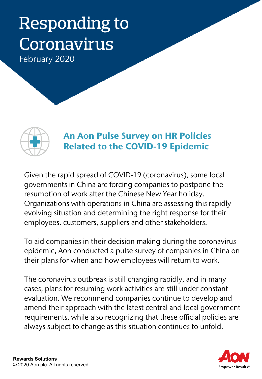# Responding to Coronavirus

February 2020



### An Aon Pulse Survey on HR Policies Related to the COVID-19 Epidemic

Given the rapid spread of COVID-19 (coronavirus), some local governments in China are forcing companies to postpone the resumption of work after the Chinese New Year holiday. Organizations with operations in China are assessing this rapidly evolving situation and determining the right response for their employees, customers, suppliers and other stakeholders.

To aid companies in their decision making during the coronavirus epidemic, Aon conducted a pulse survey of companies in China on their plans for when and how employees will return to work.

The coronavirus outbreak is still changing rapidly, and in many cases, plans for resuming work activities are still under constant evaluation. We recommend companies continue to develop and amend their approach with the latest central and local government requirements, while also recognizing that these official policies are always subject to change as this situation continues to unfold.

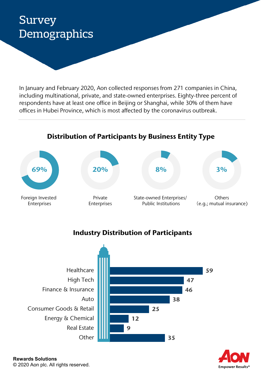# Survey **Demographics**

In January and February 2020, Aon collected responses from 271 companies in China, including multinational, private, and state-owned enterprises. Eighty-three percent of respondents have at least one office in Beijing or Shanghai, while 30% of them have offices in Hubei Province, which is most affected by the coronavirus outbreak.

### Distribution of Participants by Business Entity Type



### Industry Distribution of Participants



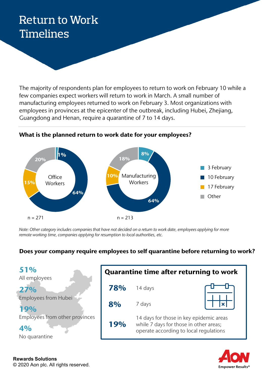# Return to Work Timelines

The majority of respondents plan for employees to return to work on February 10 while a few companies expect workers will return to work in March. A small number of manufacturing employees returned to work on February 3. Most organizations with employees in provinces at the epicenter of the outbreak, including Hubei, Zhejiang, Guangdong and Henan, require a quarantine of 7 to 14 days.



#### What is the planned return to work date for your employees?

*Note: Other category includes companies that have not decided on a return to work date, employees applying for more remote working time, companies applying for resumption to local authorities, etc.*

### Does your company require employees to self quarantine before returning to work?

| 51%<br>All employees                                  | <b>Quarantine time after returning to work</b> |                                                                                                                             |  |
|-------------------------------------------------------|------------------------------------------------|-----------------------------------------------------------------------------------------------------------------------------|--|
| 27%                                                   | 78%                                            | 14 days                                                                                                                     |  |
| <b>Employees from Hubei</b><br>19%                    | 8%                                             | 7 days                                                                                                                      |  |
| Employees from other provinces<br>4%<br>No quarantine | 19%                                            | 14 days for those in key epidemic areas<br>while 7 days for those in other areas;<br>operate according to local regulations |  |
|                                                       |                                                |                                                                                                                             |  |

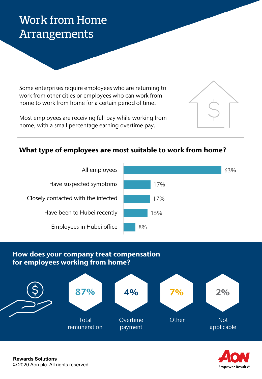# Work from Home Arrangements

Some enterprises require employees who are returning to work from other cities or employees who can work from home to work from home for a certain period of time.

Most employees are receiving full pay while working from home, with a small percentage earning overtime pay.

### What type of employees are most suitable to work from home?



### How does your company treat compensation for employees working from home?



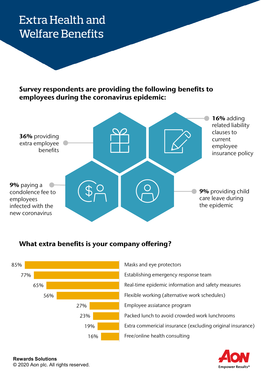## Extra Health and Welfare Benefits

### Survey respondents are providing the following benefits to employees during the coronavirus epidemic:



### What extra benefits is your company offering?



Free/online health consulting Extra commericial insurance (excluding original insurance) Packed lunch to avoid crowded work lunchrooms Employee assiatance program Flexible working (alternative work schedules) Real-time epidemic information and safety measures Establishing emergency response team Masks and eye protectors

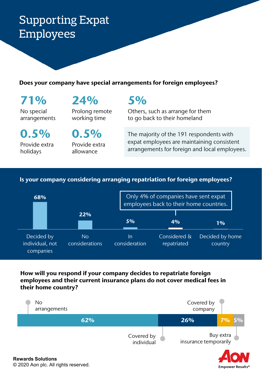# Supporting Expat Employees

#### Does your company have special arrangements for foreign employees?

71% No special arrangements

0.5% Provide extra holidays

24% Prolong remote

working time

0.5% Provide extra allowance

### 5%

Others, such as arrange for them to go back to their homeland

The majority of the 191 respondents with expat employees are maintaining consistent arrangements for foreign and local employees.

**Empower Results®** 

### Is your company considering arranging repatriation for foreign employees?



### How will you respond if your company decides to repatriate foreign employees and their current insurance plans do not cover medical fees in their home country?